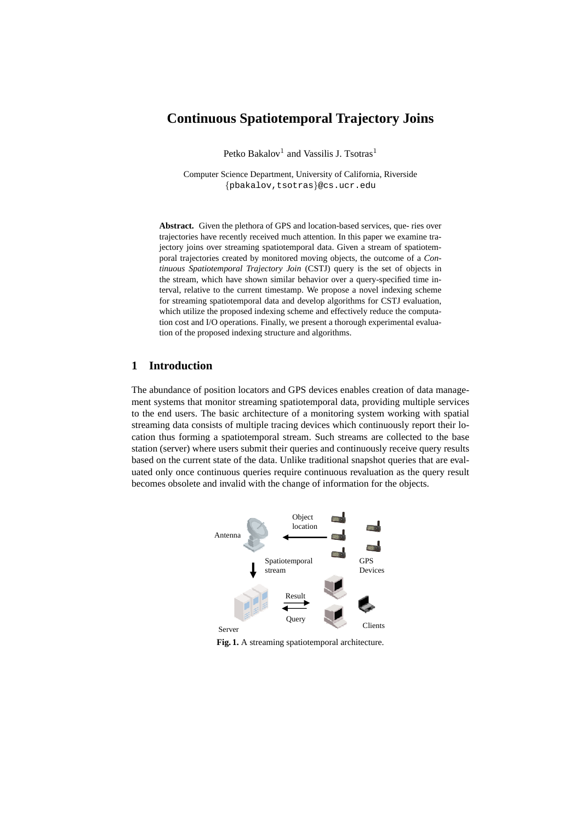# **Continuous Spatiotemporal Trajectory Joins**

Petko Bakalov<sup>1</sup> and Vassilis J. Tsotras<sup>1</sup>

Computer Science Department, University of California, Riverside {pbakalov,tsotras}@cs.ucr.edu

**Abstract.** Given the plethora of GPS and location-based services, que- ries over trajectories have recently received much attention. In this paper we examine trajectory joins over streaming spatiotemporal data. Given a stream of spatiotemporal trajectories created by monitored moving objects, the outcome of a *Continuous Spatiotemporal Trajectory Join* (CSTJ) query is the set of objects in the stream, which have shown similar behavior over a query-specified time interval, relative to the current timestamp. We propose a novel indexing scheme for streaming spatiotemporal data and develop algorithms for CSTJ evaluation, which utilize the proposed indexing scheme and effectively reduce the computation cost and I/O operations. Finally, we present a thorough experimental evaluation of the proposed indexing structure and algorithms.

## **1 Introduction**

The abundance of position locators and GPS devices enables creation of data management systems that monitor streaming spatiotemporal data, providing multiple services to the end users. The basic architecture of a monitoring system working with spatial streaming data consists of multiple tracing devices which continuously report their location thus forming a spatiotemporal stream. Such streams are collected to the base station (server) where users submit their queries and continuously receive query results based on the current state of the data. Unlike traditional snapshot queries that are evaluated only once continuous queries require continuous revaluation as the query result becomes obsolete and invalid with the change of information for the objects.



**Fig. 1.** A streaming spatiotemporal architecture.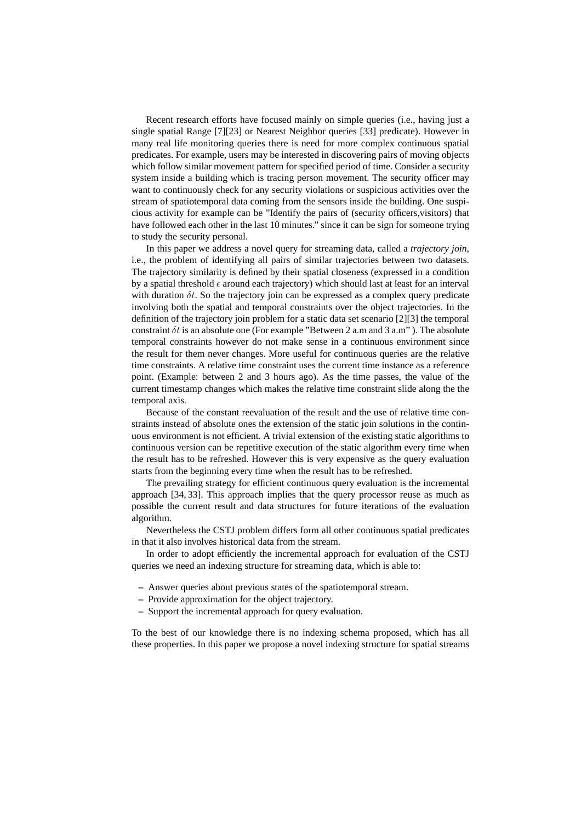Recent research efforts have focused mainly on simple queries (i.e., having just a single spatial Range [7][23] or Nearest Neighbor queries [33] predicate). However in many real life monitoring queries there is need for more complex continuous spatial predicates. For example, users may be interested in discovering pairs of moving objects which follow similar movement pattern for specified period of time. Consider a security system inside a building which is tracing person movement. The security officer may want to continuously check for any security violations or suspicious activities over the stream of spatiotemporal data coming from the sensors inside the building. One suspicious activity for example can be "Identify the pairs of (security officers,visitors) that have followed each other in the last 10 minutes." since it can be sign for someone trying to study the security personal.

In this paper we address a novel query for streaming data, called a *trajectory join*, i.e., the problem of identifying all pairs of similar trajectories between two datasets. The trajectory similarity is defined by their spatial closeness (expressed in a condition by a spatial threshold  $\epsilon$  around each trajectory) which should last at least for an interval with duration  $\delta t$ . So the trajectory join can be expressed as a complex query predicate involving both the spatial and temporal constraints over the object trajectories. In the definition of the trajectory join problem for a static data set scenario [2][3] the temporal constraint  $\delta t$  is an absolute one (For example "Between 2 a.m and 3 a.m"). The absolute temporal constraints however do not make sense in a continuous environment since the result for them never changes. More useful for continuous queries are the relative time constraints. A relative time constraint uses the current time instance as a reference point. (Example: between 2 and 3 hours ago). As the time passes, the value of the current timestamp changes which makes the relative time constraint slide along the the temporal axis.

Because of the constant reevaluation of the result and the use of relative time constraints instead of absolute ones the extension of the static join solutions in the continuous environment is not efficient. A trivial extension of the existing static algorithms to continuous version can be repetitive execution of the static algorithm every time when the result has to be refreshed. However this is very expensive as the query evaluation starts from the beginning every time when the result has to be refreshed.

The prevailing strategy for efficient continuous query evaluation is the incremental approach [34, 33]. This approach implies that the query processor reuse as much as possible the current result and data structures for future iterations of the evaluation algorithm.

Nevertheless the CSTJ problem differs form all other continuous spatial predicates in that it also involves historical data from the stream.

In order to adopt efficiently the incremental approach for evaluation of the CSTJ queries we need an indexing structure for streaming data, which is able to:

- **–** Answer queries about previous states of the spatiotemporal stream.
- **–** Provide approximation for the object trajectory.
- **–** Support the incremental approach for query evaluation.

To the best of our knowledge there is no indexing schema proposed, which has all these properties. In this paper we propose a novel indexing structure for spatial streams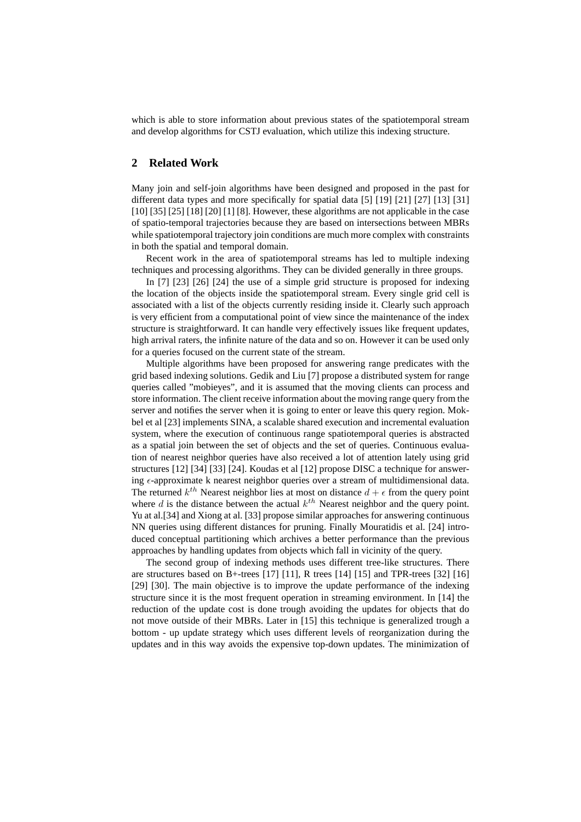which is able to store information about previous states of the spatiotemporal stream and develop algorithms for CSTJ evaluation, which utilize this indexing structure.

### **2 Related Work**

Many join and self-join algorithms have been designed and proposed in the past for different data types and more specifically for spatial data [5] [19] [21] [27] [13] [31] [10] [35] [25] [18] [20] [1] [8]. However, these algorithms are not applicable in the case of spatio-temporal trajectories because they are based on intersections between MBRs while spatiotemporal trajectory join conditions are much more complex with constraints in both the spatial and temporal domain.

Recent work in the area of spatiotemporal streams has led to multiple indexing techniques and processing algorithms. They can be divided generally in three groups.

In [7] [23] [26] [24] the use of a simple grid structure is proposed for indexing the location of the objects inside the spatiotemporal stream. Every single grid cell is associated with a list of the objects currently residing inside it. Clearly such approach is very efficient from a computational point of view since the maintenance of the index structure is straightforward. It can handle very effectively issues like frequent updates, high arrival raters, the infinite nature of the data and so on. However it can be used only for a queries focused on the current state of the stream.

Multiple algorithms have been proposed for answering range predicates with the grid based indexing solutions. Gedik and Liu [7] propose a distributed system for range queries called "mobieyes", and it is assumed that the moving clients can process and store information. The client receive information about the moving range query from the server and notifies the server when it is going to enter or leave this query region. Mokbel et al [23] implements SINA, a scalable shared execution and incremental evaluation system, where the execution of continuous range spatiotemporal queries is abstracted as a spatial join between the set of objects and the set of queries. Continuous evaluation of nearest neighbor queries have also received a lot of attention lately using grid structures [12] [34] [33] [24]. Koudas et al [12] propose DISC a technique for answering  $\epsilon$ -approximate k nearest neighbor queries over a stream of multidimensional data. The returned  $k^{th}$  Nearest neighbor lies at most on distance  $d + \epsilon$  from the query point where d is the distance between the actual  $k^{th}$  Nearest neighbor and the query point. Yu at al.[34] and Xiong at al. [33] propose similar approaches for answering continuous NN queries using different distances for pruning. Finally Mouratidis et al. [24] introduced conceptual partitioning which archives a better performance than the previous approaches by handling updates from objects which fall in vicinity of the query.

The second group of indexing methods uses different tree-like structures. There are structures based on B+-trees  $[17]$   $[11]$ , R trees  $[14]$   $[15]$  and TPR-trees  $[32]$   $[16]$ [29] [30]. The main objective is to improve the update performance of the indexing structure since it is the most frequent operation in streaming environment. In [14] the reduction of the update cost is done trough avoiding the updates for objects that do not move outside of their MBRs. Later in [15] this technique is generalized trough a bottom - up update strategy which uses different levels of reorganization during the updates and in this way avoids the expensive top-down updates. The minimization of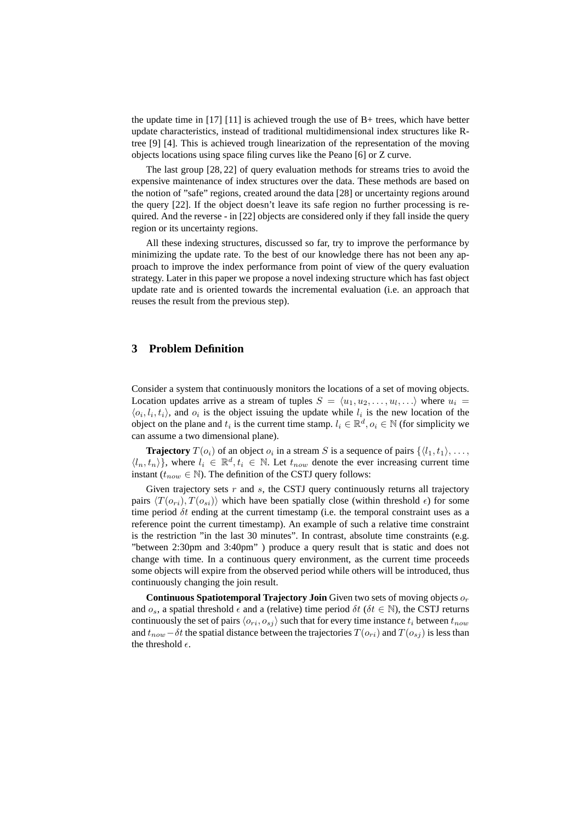the update time in [17] [11] is achieved trough the use of  $B+$  trees, which have better update characteristics, instead of traditional multidimensional index structures like Rtree [9] [4]. This is achieved trough linearization of the representation of the moving objects locations using space filing curves like the Peano [6] or Z curve.

The last group [28, 22] of query evaluation methods for streams tries to avoid the expensive maintenance of index structures over the data. These methods are based on the notion of "safe" regions, created around the data [28] or uncertainty regions around the query [22]. If the object doesn't leave its safe region no further processing is required. And the reverse - in [22] objects are considered only if they fall inside the query region or its uncertainty regions.

All these indexing structures, discussed so far, try to improve the performance by minimizing the update rate. To the best of our knowledge there has not been any approach to improve the index performance from point of view of the query evaluation strategy. Later in this paper we propose a novel indexing structure which has fast object update rate and is oriented towards the incremental evaluation (i.e. an approach that reuses the result from the previous step).

## **3 Problem Definition**

Consider a system that continuously monitors the locations of a set of moving objects. Location updates arrive as a stream of tuples  $S = \langle u_1, u_2, \ldots, u_l, \ldots \rangle$  where  $u_i =$  $\langle o_i, l_i, t_i \rangle$ , and  $o_i$  is the object issuing the update while  $l_i$  is the new location of the object on the plane and  $t_i$  is the current time stamp.  $l_i \in \mathbb{R}^d, o_i \in \mathbb{N}$  (for simplicity we can assume a two dimensional plane).

**Trajectory**  $T(o_i)$  of an object  $o_i$  in a stream S is a sequence of pairs  $\{\langle l_1, t_1 \rangle, \ldots, \rangle\}$  $\langle l_n, t_n \rangle$ , where  $l_i \in \mathbb{R}^d, t_i \in \mathbb{N}$ . Let  $t_{now}$  denote the ever increasing current time instant ( $t_{now} \in \mathbb{N}$ ). The definition of the CSTJ query follows:

Given trajectory sets  $r$  and  $s$ , the CSTJ query continuously returns all trajectory pairs  $\langle T(o_{ri}), T(o_{si})\rangle$  which have been spatially close (within threshold  $\epsilon$ ) for some time period  $\delta t$  ending at the current timestamp (i.e. the temporal constraint uses as a reference point the current timestamp). An example of such a relative time constraint is the restriction "in the last 30 minutes". In contrast, absolute time constraints (e.g. "between 2:30pm and 3:40pm" ) produce a query result that is static and does not change with time. In a continuous query environment, as the current time proceeds some objects will expire from the observed period while others will be introduced, thus continuously changing the join result.

**Continuous Spatiotemporal Trajectory Join** Given two sets of moving objects  $o_r$ and  $o_s$ , a spatial threshold  $\epsilon$  and a (relative) time period  $\delta t$  ( $\delta t \in \mathbb{N}$ ), the CSTJ returns continuously the set of pairs  $\langle o_{ri}, o_{sj} \rangle$  such that for every time instance  $t_i$  between  $t_{now}$ and  $t_{now} - \delta t$  the spatial distance between the trajectories  $T(o_{ri})$  and  $T(o_{sj})$  is less than the threshold  $\epsilon$ .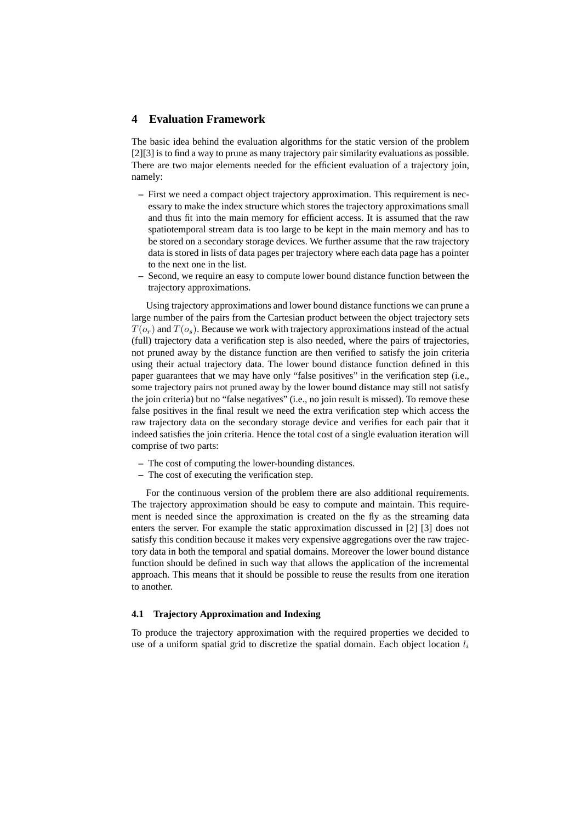## **4 Evaluation Framework**

The basic idea behind the evaluation algorithms for the static version of the problem [2][3] is to find a way to prune as many trajectory pair similarity evaluations as possible. There are two major elements needed for the efficient evaluation of a trajectory join, namely:

- **–** First we need a compact object trajectory approximation. This requirement is necessary to make the index structure which stores the trajectory approximations small and thus fit into the main memory for efficient access. It is assumed that the raw spatiotemporal stream data is too large to be kept in the main memory and has to be stored on a secondary storage devices. We further assume that the raw trajectory data is stored in lists of data pages per trajectory where each data page has a pointer to the next one in the list.
- **–** Second, we require an easy to compute lower bound distance function between the trajectory approximations.

Using trajectory approximations and lower bound distance functions we can prune a large number of the pairs from the Cartesian product between the object trajectory sets  $T(\rho_r)$  and  $T(\rho_s)$ . Because we work with trajectory approximations instead of the actual (full) trajectory data a verification step is also needed, where the pairs of trajectories, not pruned away by the distance function are then verified to satisfy the join criteria using their actual trajectory data. The lower bound distance function defined in this paper guarantees that we may have only "false positives" in the verification step (i.e., some trajectory pairs not pruned away by the lower bound distance may still not satisfy the join criteria) but no "false negatives" (i.e., no join result is missed). To remove these false positives in the final result we need the extra verification step which access the raw trajectory data on the secondary storage device and verifies for each pair that it indeed satisfies the join criteria. Hence the total cost of a single evaluation iteration will comprise of two parts:

- **–** The cost of computing the lower-bounding distances.
- **–** The cost of executing the verification step.

For the continuous version of the problem there are also additional requirements. The trajectory approximation should be easy to compute and maintain. This requirement is needed since the approximation is created on the fly as the streaming data enters the server. For example the static approximation discussed in [2] [3] does not satisfy this condition because it makes very expensive aggregations over the raw trajectory data in both the temporal and spatial domains. Moreover the lower bound distance function should be defined in such way that allows the application of the incremental approach. This means that it should be possible to reuse the results from one iteration to another.

### **4.1 Trajectory Approximation and Indexing**

To produce the trajectory approximation with the required properties we decided to use of a uniform spatial grid to discretize the spatial domain. Each object location  $l_i$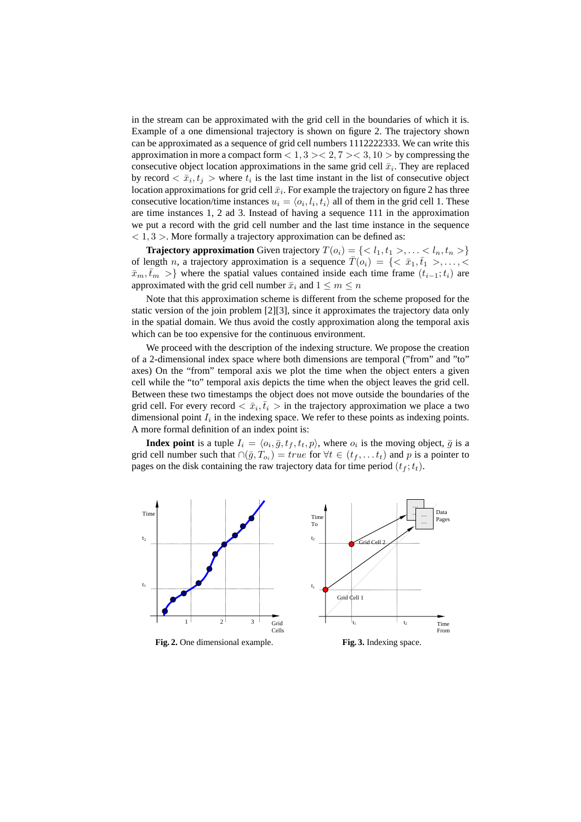in the stream can be approximated with the grid cell in the boundaries of which it is. Example of a one dimensional trajectory is shown on figure 2. The trajectory shown can be approximated as a sequence of grid cell numbers 1112222333. We can write this approximation in more a compact form  $< 1, 3 > < 2, 7 > < 3, 10 >$  by compressing the consecutive object location approximations in the same grid cell  $\bar{x}_i$ . They are replaced by record  $\langle \bar{x}_i, t_j \rangle$  where  $t_i$  is the last time instant in the list of consecutive object location approximations for grid cell  $\bar{x}_i$ . For example the trajectory on figure 2 has three consecutive location/time instances  $u_i = \langle o_i, l_i, t_i \rangle$  all of them in the grid cell 1. These are time instances 1, 2 ad 3. Instead of having a sequence 111 in the approximation we put a record with the grid cell number and the last time instance in the sequence  $<$  1, 3 >. More formally a trajectory approximation can be defined as:

**Trajectory approximation** Given trajectory  $T(o_i) = \{ \langle l_1, t_1 \rangle, \ldots \langle l_n, t_n \rangle \}$ of length n, a trajectory approximation is a sequence  $\overline{T}(o_i) = \{ \langle \overline{x}_1, \overline{t}_1 \rangle, \ldots, \langle \overline{x}_n \rangle \}$  $\{\bar{x}_m,\bar{t}_m>\}\$  where the spatial values contained inside each time frame  $(t_{i-1};t_i)$  are approximated with the grid cell number  $\bar{x}_i$  and  $1 \leq m \leq n$ 

Note that this approximation scheme is different from the scheme proposed for the static version of the join problem [2][3], since it approximates the trajectory data only in the spatial domain. We thus avoid the costly approximation along the temporal axis which can be too expensive for the continuous environment.

We proceed with the description of the indexing structure. We propose the creation of a 2-dimensional index space where both dimensions are temporal ("from" and "to" axes) On the "from" temporal axis we plot the time when the object enters a given cell while the "to" temporal axis depicts the time when the object leaves the grid cell. Between these two timestamps the object does not move outside the boundaries of the grid cell. For every record  $\langle \bar{x}_i, \bar{t}_i \rangle$  in the trajectory approximation we place a two dimensional point  $I_i$  in the indexing space. We refer to these points as indexing points. A more formal definition of an index point is:

**Index point** is a tuple  $I_i = \langle o_i, \bar{g}, t_f, t_t, p \rangle$ , where  $o_i$  is the moving object,  $\bar{g}$  is a grid cell number such that  $\cap(\bar{g}, T_{o_i}) = true$  for  $\forall t \in (t_f, \dots t_t)$  and p is a pointer to pages on the disk containing the raw trajectory data for time period  $(t_f; t_t)$ .

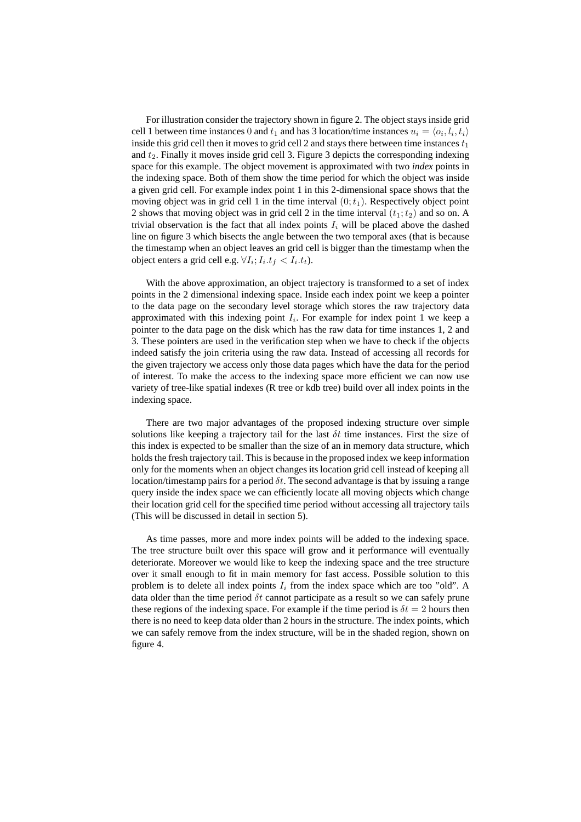For illustration consider the trajectory shown in figure 2. The object stays inside grid cell 1 between time instances 0 and  $t_1$  and has 3 location/time instances  $u_i = \langle o_i, l_i, t_i \rangle$ inside this grid cell then it moves to grid cell 2 and stays there between time instances  $t_1$ and  $t_2$ . Finally it moves inside grid cell 3. Figure 3 depicts the corresponding indexing space for this example. The object movement is approximated with two *index* points in the indexing space. Both of them show the time period for which the object was inside a given grid cell. For example index point 1 in this 2-dimensional space shows that the moving object was in grid cell 1 in the time interval  $(0; t_1)$ . Respectively object point 2 shows that moving object was in grid cell 2 in the time interval  $(t_1; t_2)$  and so on. A trivial observation is the fact that all index points  $I_i$  will be placed above the dashed line on figure 3 which bisects the angle between the two temporal axes (that is because the timestamp when an object leaves an grid cell is bigger than the timestamp when the object enters a grid cell e.g.  $\forall I_i; I_i.t_f < I_i.t_t$ ).

With the above approximation, an object trajectory is transformed to a set of index points in the 2 dimensional indexing space. Inside each index point we keep a pointer to the data page on the secondary level storage which stores the raw trajectory data approximated with this indexing point  $I_i$ . For example for index point 1 we keep a pointer to the data page on the disk which has the raw data for time instances 1, 2 and 3. These pointers are used in the verification step when we have to check if the objects indeed satisfy the join criteria using the raw data. Instead of accessing all records for the given trajectory we access only those data pages which have the data for the period of interest. To make the access to the indexing space more efficient we can now use variety of tree-like spatial indexes (R tree or kdb tree) build over all index points in the indexing space.

There are two major advantages of the proposed indexing structure over simple solutions like keeping a trajectory tail for the last  $\delta t$  time instances. First the size of this index is expected to be smaller than the size of an in memory data structure, which holds the fresh trajectory tail. This is because in the proposed index we keep information only for the moments when an object changes its location grid cell instead of keeping all location/timestamp pairs for a period  $\delta t$ . The second advantage is that by issuing a range query inside the index space we can efficiently locate all moving objects which change their location grid cell for the specified time period without accessing all trajectory tails (This will be discussed in detail in section 5).

As time passes, more and more index points will be added to the indexing space. The tree structure built over this space will grow and it performance will eventually deteriorate. Moreover we would like to keep the indexing space and the tree structure over it small enough to fit in main memory for fast access. Possible solution to this problem is to delete all index points  $I_i$  from the index space which are too "old". A data older than the time period  $\delta t$  cannot participate as a result so we can safely prune these regions of the indexing space. For example if the time period is  $\delta t = 2$  hours then there is no need to keep data older than 2 hours in the structure. The index points, which we can safely remove from the index structure, will be in the shaded region, shown on figure 4.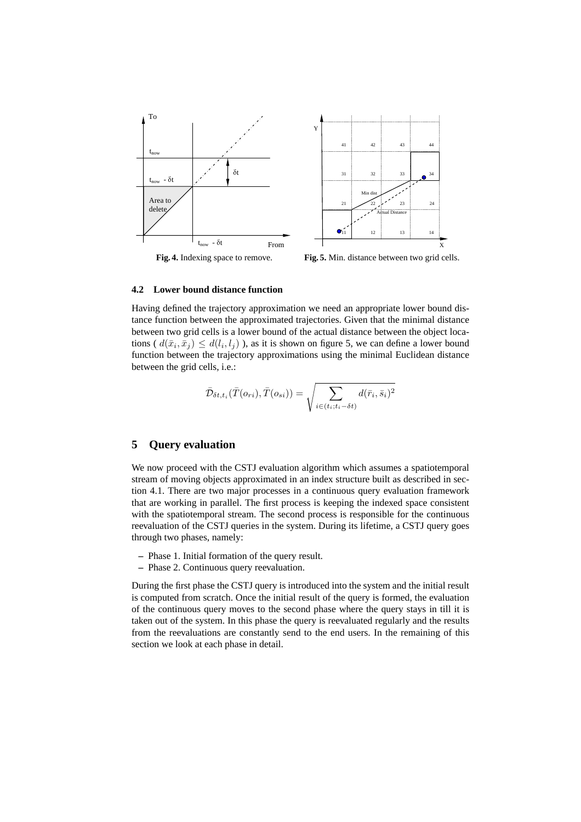

#### **4.2 Lower bound distance function**

Having defined the trajectory approximation we need an appropriate lower bound distance function between the approximated trajectories. Given that the minimal distance between two grid cells is a lower bound of the actual distance between the object locations ( $d(\bar{x}_i, \bar{x}_j) \leq d(l_i, l_j)$ ), as it is shown on figure 5, we can define a lower bound function between the trajectory approximations using the minimal Euclidean distance between the grid cells, i.e.:

$$
\bar{\mathcal{D}}_{\delta t,t_i}(\bar{T}(o_{ri}), \bar{T}(o_{si})) = \sqrt{\sum_{i \in (t_i; t_i - \delta t)} d(\bar{r}_i, \bar{s}_i)^2}
$$

## **5 Query evaluation**

We now proceed with the CSTJ evaluation algorithm which assumes a spatiotemporal stream of moving objects approximated in an index structure built as described in section 4.1. There are two major processes in a continuous query evaluation framework that are working in parallel. The first process is keeping the indexed space consistent with the spatiotemporal stream. The second process is responsible for the continuous reevaluation of the CSTJ queries in the system. During its lifetime, a CSTJ query goes through two phases, namely:

- **–** Phase 1. Initial formation of the query result.
- **–** Phase 2. Continuous query reevaluation.

During the first phase the CSTJ query is introduced into the system and the initial result is computed from scratch. Once the initial result of the query is formed, the evaluation of the continuous query moves to the second phase where the query stays in till it is taken out of the system. In this phase the query is reevaluated regularly and the results from the reevaluations are constantly send to the end users. In the remaining of this section we look at each phase in detail.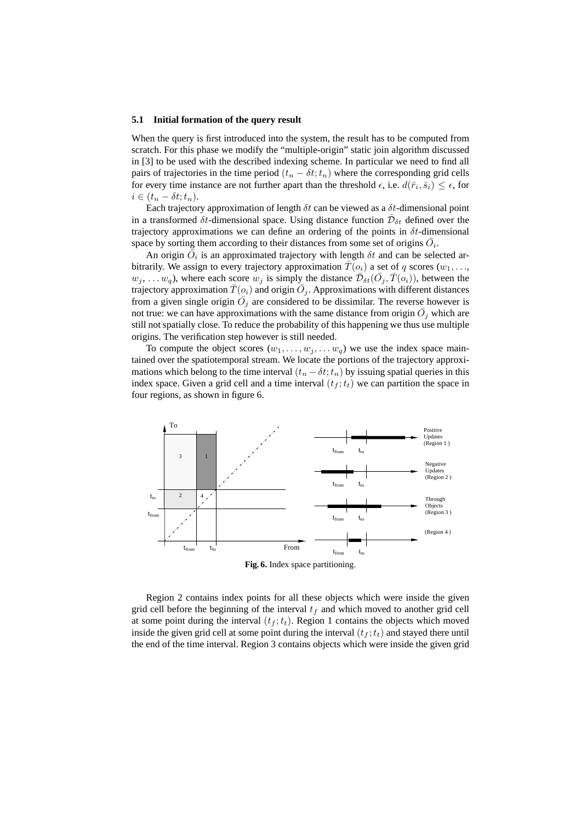#### **5.1 Initial formation of the query result**

When the query is first introduced into the system, the result has to be computed from scratch. For this phase we modify the "multiple-origin" static join algorithm discussed in [3] to be used with the described indexing scheme. In particular we need to find all pairs of trajectories in the time period  $(t_n - \delta t; t_n)$  where the corresponding grid cells for every time instance are not further apart than the threshold  $\epsilon$ , i.e.  $d(\bar{r}_i, \bar{s}_i) \leq \epsilon$ , for  $i \in (t_n - \delta t; t_n).$ 

Each trajectory approximation of length  $\delta t$  can be viewed as a  $\delta t$ -dimensional point in a transformed  $\delta t$ -dimensional space. Using distance function  $\bar{\mathcal{D}}_{\delta t}$  defined over the trajectory approximations we can define an ordering of the points in  $\delta t$ -dimensional space by sorting them according to their distances from some set of origins  $\overline{O_i}$ .

An origin  $\overline{O}_i$  is an approximated trajectory with length  $\delta t$  and can be selected arbitrarily. We assign to every trajectory approximation  $\overline{T}(o_i)$  a set of q scores  $(w_1, \ldots,$  $w_j, \ldots w_q$ ), where each score  $w_j$  is simply the distance  $\mathcal{D}_{\delta t}(\bar{O}_j, \bar{T}(o_i))$ , between the trajectory approximation  $\bar{T}(o_i)$  and origin  $\bar{O}_j$ . Approximations with different distances from a given single origin  $\overline{O}_j$  are considered to be dissimilar. The reverse however is not true: we can have approximations with the same distance from origin  $\overline{O}_j$  which are still not spatially close. To reduce the probability of this happening we thus use multiple origins. The verification step however is still needed.

To compute the object scores  $(w_1, \ldots, w_j, \ldots, w_q)$  we use the index space maintained over the spatiotemporal stream. We locate the portions of the trajectory approximations which belong to the time interval  $(t_n - \delta t; t_n)$  by issuing spatial queries in this index space. Given a grid cell and a time interval  $(t_f; t_t)$  we can partition the space in four regions, as shown in figure 6.



Region 2 contains index points for all these objects which were inside the given grid cell before the beginning of the interval  $t_f$  and which moved to another grid cell at some point during the interval  $(t_f; t_t)$ . Region 1 contains the objects which moved inside the given grid cell at some point during the interval  $(t_f; t_t)$  and stayed there until the end of the time interval. Region 3 contains objects which were inside the given grid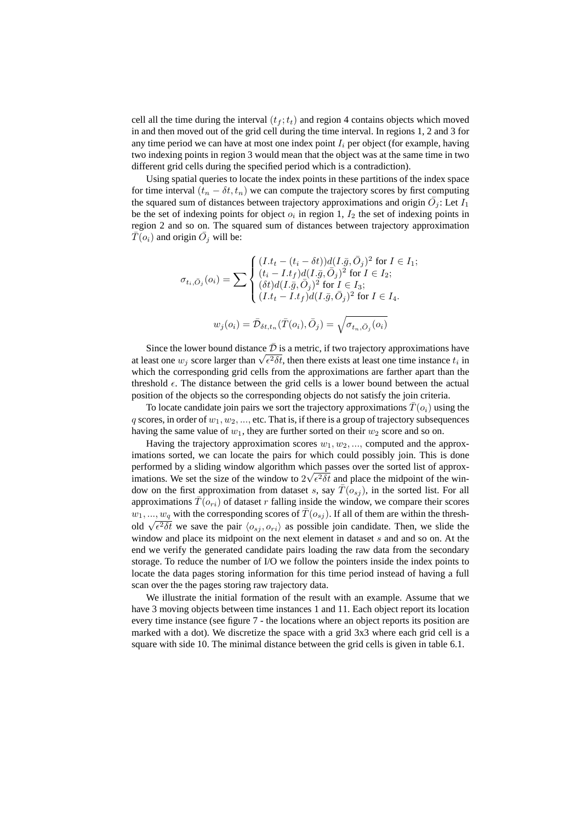cell all the time during the interval  $(t_f; t_t)$  and region 4 contains objects which moved in and then moved out of the grid cell during the time interval. In regions 1, 2 and 3 for any time period we can have at most one index point  $I_i$  per object (for example, having two indexing points in region 3 would mean that the object was at the same time in two different grid cells during the specified period which is a contradiction).

Using spatial queries to locate the index points in these partitions of the index space for time interval  $(t_n - \delta t, t_n)$  we can compute the trajectory scores by first computing the squared sum of distances between trajectory approximations and origin  $\overline{O}_j$ : Let  $\overline{I_1}$ be the set of indexing points for object  $o_i$  in region 1,  $I_2$  the set of indexing points in region 2 and so on. The squared sum of distances between trajectory approximation  $\overline{T}(o_i)$  and origin  $\overline{O}_j$  will be:

$$
\sigma_{t_i,\bar{O}_j}(o_i) = \sum \begin{cases} (I.t_t - (t_i - \delta t))d(I.\bar{g},\bar{O}_j)^2 \text{ for } I \in I_1; \\ (t_i - I.t_f)d(I.\bar{g},\bar{O}_j)^2 \text{ for } I \in I_2; \\ (\delta t)d(I.\bar{g},\bar{O}_j)^2 \text{ for } I \in I_3; \\ (I.t_t - I.t_f)d(I.\bar{g},\bar{O}_j)^2 \text{ for } I \in I_4. \end{cases}
$$

$$
w_j(o_i) = \bar{\mathcal{D}}_{\delta t, t_n}(\bar{T}(o_i),\bar{O}_j) = \sqrt{\sigma_{t_n,\bar{O}_j}(o_i)}
$$

Since the lower bound distance  $\bar{\mathcal{D}}$  is a metric, if two trajectory approximations have Since the lower bound distance  $D$  is a metric, if two trajectory approximations have at least one  $w_j$  score larger than  $\sqrt{\epsilon^2 \delta t}$ , then there exists at least one time instance  $t_i$  in which the corresponding grid cells from the approximations are farther apart than the threshold  $\epsilon$ . The distance between the grid cells is a lower bound between the actual position of the objects so the corresponding objects do not satisfy the join criteria.

To locate candidate join pairs we sort the trajectory approximations  $T(o_i)$  using the q scores, in order of  $w_1, w_2, \dots$ , etc. That is, if there is a group of trajectory subsequences having the same value of  $w_1$ , they are further sorted on their  $w_2$  score and so on.

Having the trajectory approximation scores  $w_1, w_2, \dots$ , computed and the approximations sorted, we can locate the pairs for which could possibly join. This is done performed by a sliding window algorithm which passes over the sorted list of approximations. We set the size of the window to  $2\sqrt{\epsilon^2}\delta t$  and place the midpoint of the window on the first approximation from dataset s, say  $\bar{T}(o_{si})$ , in the sorted list. For all approximations  $\bar{T}(o_{ri})$  of dataset r falling inside the window, we compare their scores  $w_1, ..., w_q$  with the corresponding scores of  $\overline{T}(o_{sj})$ . If all of them are within the thresh $w_1, ..., w_q$  with the corresponding scores of  $I(\omega_{sj})$ . It all of them are within the threshold  $\sqrt{\epsilon^2 \delta t}$  we save the pair  $\langle o_{sj}, o_{ri} \rangle$  as possible join candidate. Then, we slide the window and place its midpoint on the next element in dataset s and and so on. At the end we verify the generated candidate pairs loading the raw data from the secondary storage. To reduce the number of I/O we follow the pointers inside the index points to locate the data pages storing information for this time period instead of having a full scan over the the pages storing raw trajectory data.

We illustrate the initial formation of the result with an example. Assume that we have 3 moving objects between time instances 1 and 11. Each object report its location every time instance (see figure 7 - the locations where an object reports its position are marked with a dot). We discretize the space with a grid 3x3 where each grid cell is a square with side 10. The minimal distance between the grid cells is given in table 6.1.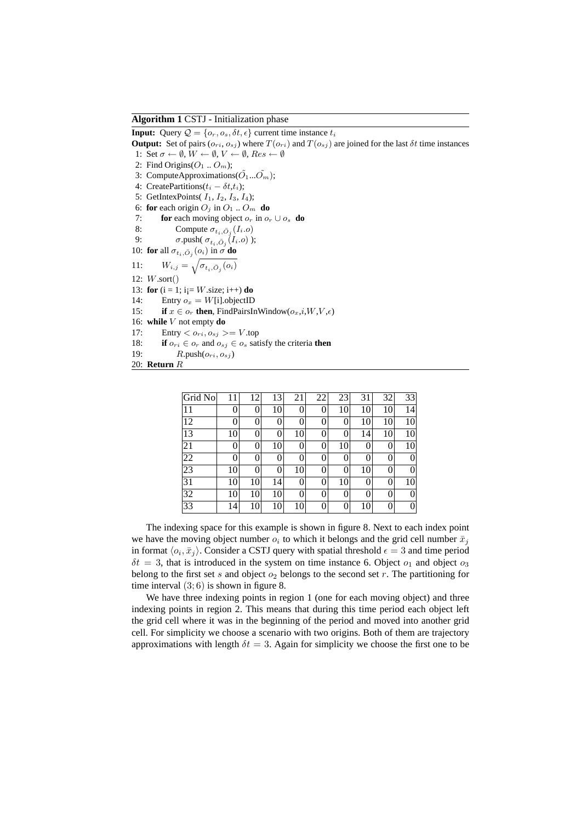**Algorithm 1** CSTJ - Initialization phase

**Input:** Query  $Q = \{o_r, o_s, \delta t, \epsilon\}$  current time instance  $t_i$ **Output:** Set of pairs  $(o_{ri}, o_{sj})$  where  $T(o_{ri})$  and  $T(o_{sj})$  are joined for the last  $\delta t$  time instances 1: Set  $\sigma \leftarrow \emptyset$ ,  $W \leftarrow \emptyset$ ,  $V \leftarrow \emptyset$ ,  $Res \leftarrow \emptyset$ 2: Find Origins( $O_1$ ...  $O_m$ ); 3: ComputeApproximations( $O_1...O_m$ ); 4: CreatePartitions( $t_i - \delta t, t_i$ ); 5: GetIntexPoints $(I_1, I_2, I_3, I_4)$ ; 6: **for** each origin  $O_j$  in  $O_1$  ..  $O_m$  **do** 7: **for** each moving object  $o_r$  in  $o_r \cup o_s$  **do** 8: Compute  $\sigma_{t_i, \bar{O}_j}(I_i.o)$ 9:  $\sigma$ .push( $\sigma_{t_i, \bar{O}_j}(I_i.o)$ ); 10: **for** all  $\sigma_{t_i, \bar{O}_j}(o_i)$  in  $\sigma$  **do** 11:  $W_{i,j} = \sqrt{\sigma_{t_i, \bar{O}_j}(o_i)}$ 12:  $W.\text{sort}()$ 13: **for**  $(i = 1; i = W$ . size;  $i++)$  **do** 14: Entry  $o_x = W[i]$ .objectID 15: **if**  $x \in o_r$  **then**, FindPairsInWindow $(o_x, i, W, V, \epsilon)$ 16: **while** V not empty **do** 17: Entry  $\langle o_{ri}, o_{sj} \rangle = V$ .top 18: **if**  $o_{ri} \in o_r$  and  $o_{sj} \in o_s$  satisfy the criteria **then** 19:  $R.\text{push}(o_{ri}, o_{sj})$ 20: **Return** R

| Grid No | 11       | 12             | 13             | 21 | 22             | 23             | 31 | 32             | 33 |
|---------|----------|----------------|----------------|----|----------------|----------------|----|----------------|----|
| 11      | $\Omega$ | 0              | 10             | 0  | $\overline{0}$ | 10             | 10 | 10             | 14 |
| 12      | $\Omega$ | 0              | 0              | 0  | 0              | 0              | 10 | 10             | 10 |
| 13      | 10       | 0              | $\overline{0}$ | 10 | $\overline{0}$ | 0              | 14 | 10             | 10 |
| 21      | $\theta$ | $\overline{0}$ | 10             | 0  | $\theta$       | 10             | 0  | 0              | 10 |
| 22      | 0        | 0              | 0              | 0  | 0              | 0              | 0  | 0              |    |
| 23      | 10       | 0              | $\theta$       | 10 | 0              | $\overline{0}$ | 10 | 0              |    |
| 31      | 10       | 10             | 14             | 0  | 0              | 10             | 0  | $\overline{0}$ | 10 |
| 32      | 10       | 10             | 10             | 0  | 0              | 0              | 0  | 0              |    |
| 33      | 14       | 10             | 10             | 10 | 0              | 0              | 10 | 0              |    |

The indexing space for this example is shown in figure 8. Next to each index point we have the moving object number  $o_i$  to which it belongs and the grid cell number  $\bar{x}_j$ in format  $\langle o_i, \bar{x}_j \rangle$ . Consider a CSTJ query with spatial threshold  $\epsilon = 3$  and time period  $\delta t = 3$ , that is introduced in the system on time instance 6. Object  $o_1$  and object  $o_3$ belong to the first set s and object  $o_2$  belongs to the second set r. The partitioning for time interval  $(3, 6)$  is shown in figure 8.

We have three indexing points in region 1 (one for each moving object) and three indexing points in region 2. This means that during this time period each object left the grid cell where it was in the beginning of the period and moved into another grid cell. For simplicity we choose a scenario with two origins. Both of them are trajectory approximations with length  $\delta t = 3$ . Again for simplicity we choose the first one to be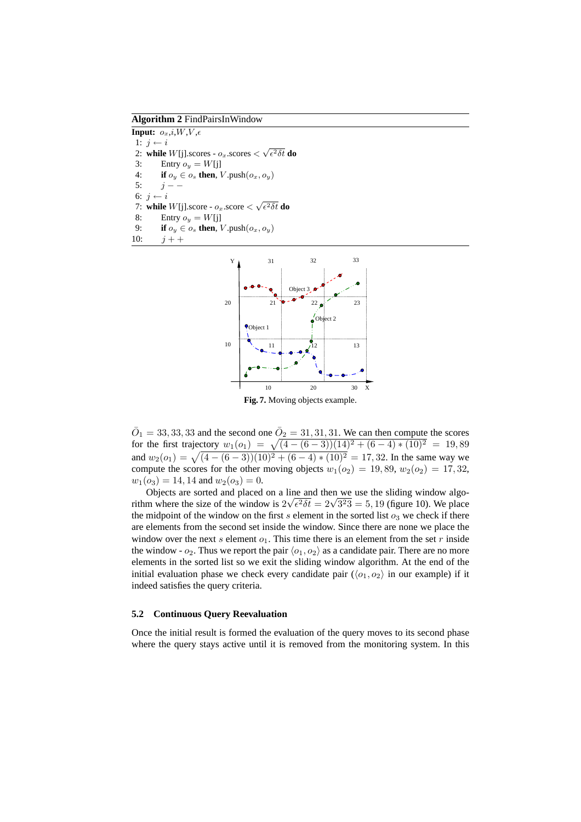**Algorithm 2** FindPairsInWindow

**Input:**  $o_x$ ,*i*,*W*,*V*, $\epsilon$ 1:  $j \leftarrow i$ 1:  $\jmath \leftarrow \iota$ <br>2: **while** *W*[j].scores -  $o_x$ .scores  $\langle \sqrt{\epsilon^2 \delta t} \, \mathbf{d} \mathbf{o} \rangle$ 3: Entry  $o_y = W[i]$ 4: **if**  $o_y \in o_s$  **then**,  $V$  .push $(o_x, o_y)$ 5:  $j -$ 6:  $j \leftarrow i$ **0:**  $\jmath$  ←  $\imath$ <br>7: **while** *W*[j].score - *o*<sub>x</sub>.score <  $\sqrt{\epsilon^2 \delta t}$  **do** 8: Entry  $o_y = W[i]$ 9: **if**  $o_y \in o_s$  **then**,  $V$  .push $(o_x, o_y)$ 10:  $j + +$ 



 $\overline{O}_1 = 33, 33, 33$  and the second one  $\overline{O}_2 = 31, 31, 31$ . We can then compute the scores<br>for the first trajectory  $w_1(o_1) = \sqrt{(4 - (6 - 3))(14)^2 + (6 - 4) * (10)^2} = 19, 89$ <br>and  $w_2(o_1) = \sqrt{(4 - (6 - 3))(10)^2 + (6 - 4) * (10)^2} = 17, 32$ . compute the scores for the other moving objects  $w_1(o_2) = 19, 89, w_2(o_2) = 17, 32,$  $w_1(o_3) = 14, 14$  and  $w_2(o_3) = 0$ .

Objects are sorted and placed on a line and then we use the sliding window algo-Objects are sorted and placed on a line and then we use the sliding window algorithm where the size of the window is  $2\sqrt{\epsilon^2 \delta t} = 2\sqrt{3^2} = 5, 19$  (figure 10). We place the midpoint of the window on the first s element in the sorted list  $o_3$  we check if there are elements from the second set inside the window. Since there are none we place the window over the next s element  $o_1$ . This time there is an element from the set r inside the window -  $o_2$ . Thus we report the pair  $\langle o_1, o_2 \rangle$  as a candidate pair. There are no more elements in the sorted list so we exit the sliding window algorithm. At the end of the initial evaluation phase we check every candidate pair  $(\langle o_1, o_2 \rangle)$  in our example) if it indeed satisfies the query criteria.

### **5.2 Continuous Query Reevaluation**

Once the initial result is formed the evaluation of the query moves to its second phase where the query stays active until it is removed from the monitoring system. In this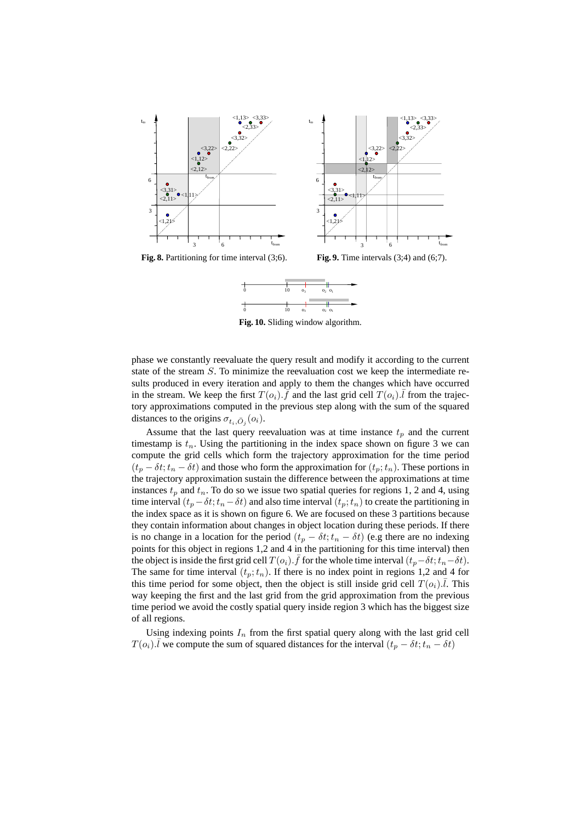



**Fig. 10.** Sliding window algorithm.

phase we constantly reevaluate the query result and modify it according to the current state of the stream S. To minimize the reevaluation cost we keep the intermediate results produced in every iteration and apply to them the changes which have occurred in the stream. We keep the first  $T(o_i)$ .  $\overline{f}$  and the last grid cell  $T(o_i)$ .  $\overline{l}$  from the trajectory approximations computed in the previous step along with the sum of the squared distances to the origins  $\sigma_{t_i, \bar{O}_j}(o_i)$ .

Assume that the last query reevaluation was at time instance  $t_p$  and the current timestamp is  $t_n$ . Using the partitioning in the index space shown on figure 3 we can compute the grid cells which form the trajectory approximation for the time period  $(t_p - \delta t; t_n - \delta t)$  and those who form the approximation for  $(t_p; t_n)$ . These portions in the trajectory approximation sustain the difference between the approximations at time instances  $t_p$  and  $t_n$ . To do so we issue two spatial queries for regions 1, 2 and 4, using time interval  $(t_p - \delta t; t_n - \delta t)$  and also time interval  $(t_p; t_n)$  to create the partitioning in the index space as it is shown on figure 6. We are focused on these 3 partitions because they contain information about changes in object location during these periods. If there is no change in a location for the period  $(t_p - \delta t; t_n - \delta t)$  (e.g there are no indexing points for this object in regions 1,2 and 4 in the partitioning for this time interval) then the object is inside the first grid cell  $T(o_i)$ .  $\bar{f}$  for the whole time interval  $(t_p - \delta t; t_n - \delta t)$ . The same for time interval  $(t_p; t_n)$ . If there is no index point in regions 1,2 and 4 for this time period for some object, then the object is still inside grid cell  $T(o_i)$ . This way keeping the first and the last grid from the grid approximation from the previous time period we avoid the costly spatial query inside region 3 which has the biggest size of all regions.

Using indexing points  $I_n$  from the first spatial query along with the last grid cell  $T(o_i)$ .  $\overline{l}$  we compute the sum of squared distances for the interval  $(t_p - \delta t; t_n - \delta t)$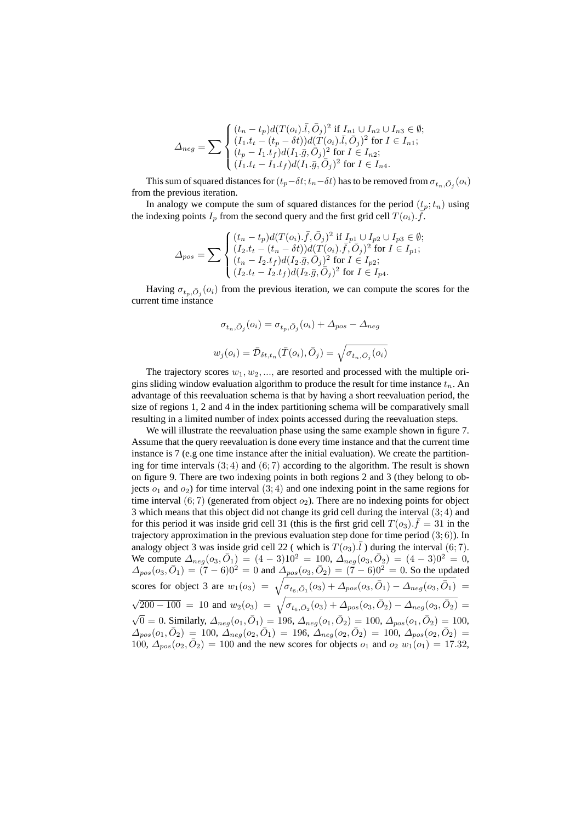$$
\Delta_{neg} = \sum \begin{cases}\n(t_n - t_p) d(T(o_i) . \bar{l}, \bar{O}_j)^2 \text{ if } I_{n1} \cup I_{n2} \cup I_{n3} \in \emptyset; \\
(I_1.t_t - (t_p - \delta t)) d(T(o_i) . \bar{l}, \bar{O}_j)^2 \text{ for } I \in I_{n1}; \\
(t_p - I_1.t_f) d(I_1.\bar{g}, \bar{O}_j)^2 \text{ for } I \in I_{n2}; \\
(I_1.t_t - I_1.t_f) d(I_1.\bar{g}, \bar{O}_j)^2 \text{ for } I \in I_{n4}.\n\end{cases}
$$

This sum of squared distances for  $(t_p-\delta t; t_n-\delta t)$  has to be removed from  $\sigma_{t_n,\bar{O}_j}(o_i)$ from the previous iteration.

In analogy we compute the sum of squared distances for the period  $(t_p; t_n)$  using the indexing points  $I_p$  from the second query and the first grid cell  $T(o_i)$ .

$$
\Delta_{pos} = \sum \begin{cases} (t_n - t_p) d(T(o_i), \bar{f}, \bar{O}_j)^2 \text{ if } I_{p1} \cup I_{p2} \cup I_{p3} \in \emptyset; \\ (I_2.t_t - (t_n - \delta t)) d(T(o_i), \bar{f}, \bar{O}_j)^2 \text{ for } I \in I_{p1}; \\ (t_n - I_2.t_f) d(I_2.\bar{g}, \bar{O}_j)^2 \text{ for } I \in I_{p2}; \\ (I_2.t_t - I_2.t_f) d(I_2.\bar{g}, \bar{O}_j)^2 \text{ for } I \in I_{p4}. \end{cases}
$$

Having  $\sigma_{t_p,\bar{O}_j}(o_i)$  from the previous iteration, we can compute the scores for the current time instance

$$
\sigma_{t_n, \bar{O}_j}(o_i) = \sigma_{t_p, \bar{O}_j}(o_i) + \Delta_{pos} - \Delta_{neg}
$$
  

$$
w_j(o_i) = \bar{D}_{\delta t, t_n}(\bar{T}(o_i), \bar{O}_j) = \sqrt{\sigma_{t_n, \bar{O}_j}(o_i)}
$$

The trajectory scores  $w_1, w_2, \ldots$ , are resorted and processed with the multiple origins sliding window evaluation algorithm to produce the result for time instance  $t_n$ . An advantage of this reevaluation schema is that by having a short reevaluation period, the size of regions 1, 2 and 4 in the index partitioning schema will be comparatively small resulting in a limited number of index points accessed during the reevaluation steps.

We will illustrate the reevaluation phase using the same example shown in figure 7. Assume that the query reevaluation is done every time instance and that the current time instance is 7 (e.g one time instance after the initial evaluation). We create the partitioning for time intervals  $(3, 4)$  and  $(6, 7)$  according to the algorithm. The result is shown on figure 9. There are two indexing points in both regions 2 and 3 (they belong to objects  $o_1$  and  $o_2$ ) for time interval  $(3, 4)$  and one indexing point in the same regions for time interval  $(6, 7)$  (generated from object  $o_2$ ). There are no indexing points for object 3 which means that this object did not change its grid cell during the interval (3; 4) and for this period it was inside grid cell 31 (this is the first grid cell  $T(o_3)$ .  $\bar{f} = 31$  in the trajectory approximation in the previous evaluation step done for time period (3; 6)). In analogy object 3 was inside grid cell 22 (which is  $T(o_3)$ .  $\bar{l}$ ) during the interval (6; 7). We compute  $\Delta_{neg}(o_3, \bar{O}_1) = (4-3)10^2 = 100, \, \Delta_{neg}(o_3, \bar{O}_2) = (4-3)0^2 = 0,$  $\Delta_{pos}(o_3, \bar{O}_1) = (7-6)0^2 = 0$  and  $\Delta_{pos}(o_3, \bar{O}_2) = (7-6)0^2 = 0$ . So the updated  $\Delta_{pos}(o_3, O_1) = (1 - 0)0$  = 0 and  $\Delta_{pos}(o_3, O_2) = (1 - 0)0$  = 0. So the updated<br>scores for object 3 are  $w_1(o_3) = \sqrt{\sigma_{t_6, \bar{O}_1}(o_3) + \Delta_{pos}(o_3, \bar{O}_1) - \Delta_{neg}(o_3, \bar{O}_1)}$  =  $\sqrt{200-100} = 10$  and  $w_2(o_3) = \sqrt{\sigma_{t_6, \bar{O}_2}(o_3) + \Delta_{pos}(o_3, \bar{O}_2) - \Delta_{neg}(o_3, \bar{O}_2)} =$  $\overline{0} = 0$ . Similarly,  $\Delta_{neg}(o_1, \overline{O}_1) = 196$ ,  $\Delta_{neg}(o_1, \overline{O}_2) = 100$ ,  $\Delta_{pos}(o_1, \overline{O}_2) = 100$ ,  $\Delta_{pos}(o_1,\bar{O}_2) = 100, \Delta_{neg}(o_2,\bar{O}_1) = 196, \Delta_{neg}(o_2,\bar{O}_2) = 100, \Delta_{pos}(o_2,\bar{O}_2) =$ 100,  $\Delta_{pos}(o_2, \bar{O}_2) = 100$  and the new scores for objects  $o_1$  and  $o_2 w_1(o_1) = 17.32$ ,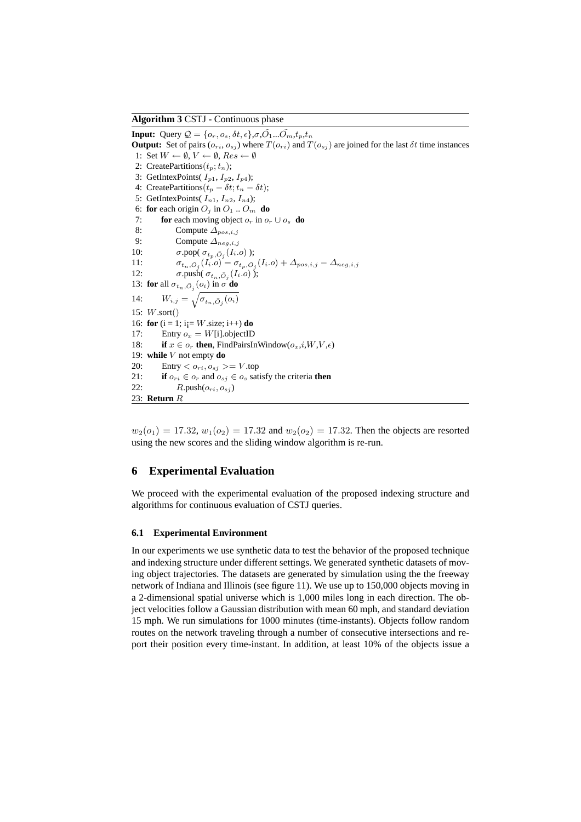**Algorithm 3** CSTJ - Continuous phase

**Input:** Query  $\mathcal{Q} = \{o_r, o_s, \delta t, \epsilon\}, \sigma, \tilde{O}_1...\tilde{O}_m, t_p, t_n$ **Output:** Set of pairs  $(o_{ri}, o_{si})$  where  $T(o_{ri})$  and  $T(o_{si})$  are joined for the last  $\delta t$  time instances 1: Set  $W \leftarrow \emptyset$ ,  $V \leftarrow \emptyset$ ,  $Res \leftarrow \emptyset$ 2: CreatePartitions $(t_p; t_n);$ 3: GetIntexPoints( $I_{p1}, I_{p2}, I_{p4}$ ); 4: CreatePartitions $(t_p - \delta t; t_n - \delta t)$ ; 5: GetIntexPoints( $I_{n1}$ ,  $I_{n2}$ ,  $I_{n4}$ ); 6: **for** each origin  $O_i$  in  $O_1$  ..  $O_m$  **do** 7: **for** each moving object  $o_r$  in  $o_r \cup o_s$  **do** 8: Compute  $\Delta_{pos,i,j}$ 9: Compute  $\Delta_{neg,i,j}$ 10:  $\sigma$ .pop( $\sigma_{t_p, \bar{O}_j}(I_i.o)$ ); 11:  $\sigma_{t_n, \bar{O}_j}(I_i.o) = \sigma_{t_p, \bar{O}_j}(I_i.o) + \Delta_{pos, i,j} - \Delta_{neg, i,j}$ 12:  $\sigma$ .push( $\sigma_{t_n, \bar{O}_j}(I_i.o)$ ); 13: **for** all  $\sigma_{t_n, \bar{O}_j}(o_i)$  in  $\sigma$  **do** 14:  $W_{i,j} = \sqrt{\sigma_{t_n, \bar{O}_j}(o_i)}$ 15:  $W.\text{sort}()$ 16: **for**  $(i = 1; i = W$ .size;  $i++)$  **do** 17: Entry  $o_x = W[i]$ .objectID 18: **if**  $x \in o_r$  **then**, FindPairsInWindow $(o_x, i, W, V, \epsilon)$ 19: **while** V not empty **do** 20: Entry  $\langle o_{ri}, o_{sj} \rangle = V$ .top 21: **if**  $o_{ri} \in o_r$  and  $o_{sj} \in o_s$  satisfy the criteria **then** 22:  $R.\text{push}(o_{ri}, o_{sj})$ 23: **Return** R

 $w_2(o_1) = 17.32, w_1(o_2) = 17.32$  and  $w_2(o_2) = 17.32$ . Then the objects are resorted using the new scores and the sliding window algorithm is re-run.

### **6 Experimental Evaluation**

We proceed with the experimental evaluation of the proposed indexing structure and algorithms for continuous evaluation of CSTJ queries.

### **6.1 Experimental Environment**

In our experiments we use synthetic data to test the behavior of the proposed technique and indexing structure under different settings. We generated synthetic datasets of moving object trajectories. The datasets are generated by simulation using the the freeway network of Indiana and Illinois (see figure 11). We use up to 150,000 objects moving in a 2-dimensional spatial universe which is 1,000 miles long in each direction. The object velocities follow a Gaussian distribution with mean 60 mph, and standard deviation 15 mph. We run simulations for 1000 minutes (time-instants). Objects follow random routes on the network traveling through a number of consecutive intersections and report their position every time-instant. In addition, at least 10% of the objects issue a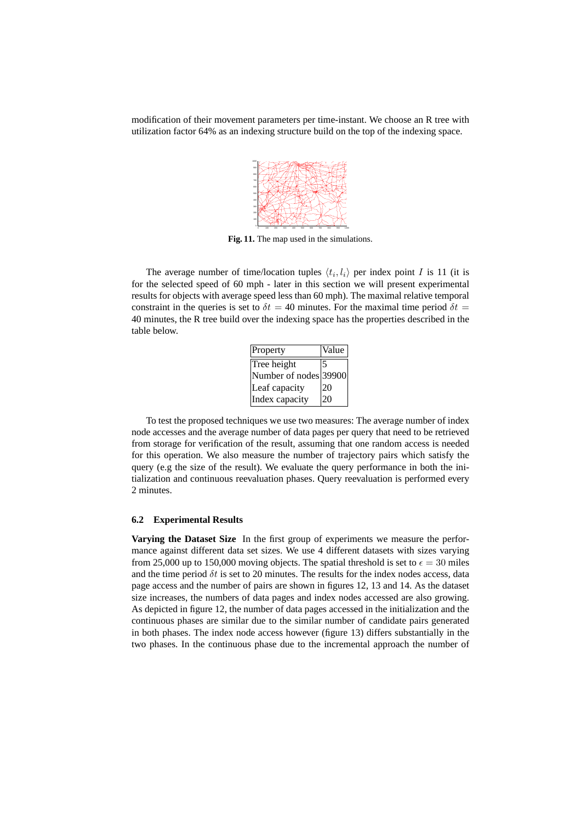modification of their movement parameters per time-instant. We choose an R tree with utilization factor 64% as an indexing structure build on the top of the indexing space.



**Fig. 11.** The map used in the simulations.

The average number of time/location tuples  $\langle t_i, l_i \rangle$  per index point I is 11 (it is for the selected speed of 60 mph - later in this section we will present experimental results for objects with average speed less than 60 mph). The maximal relative temporal constraint in the queries is set to  $\delta t = 40$  minutes. For the maximal time period  $\delta t =$ 40 minutes, the R tree build over the indexing space has the properties described in the table below.

| Property              | Value |
|-----------------------|-------|
| Tree height           |       |
| Number of nodes 39900 |       |
| Leaf capacity         | 20    |
| Index capacity        | 20    |

To test the proposed techniques we use two measures: The average number of index node accesses and the average number of data pages per query that need to be retrieved from storage for verification of the result, assuming that one random access is needed for this operation. We also measure the number of trajectory pairs which satisfy the query (e.g the size of the result). We evaluate the query performance in both the initialization and continuous reevaluation phases. Query reevaluation is performed every 2 minutes.

### **6.2 Experimental Results**

**Varying the Dataset Size** In the first group of experiments we measure the performance against different data set sizes. We use 4 different datasets with sizes varying from 25,000 up to 150,000 moving objects. The spatial threshold is set to  $\epsilon = 30$  miles and the time period  $\delta t$  is set to 20 minutes. The results for the index nodes access, data page access and the number of pairs are shown in figures 12, 13 and 14. As the dataset size increases, the numbers of data pages and index nodes accessed are also growing. As depicted in figure 12, the number of data pages accessed in the initialization and the continuous phases are similar due to the similar number of candidate pairs generated in both phases. The index node access however (figure 13) differs substantially in the two phases. In the continuous phase due to the incremental approach the number of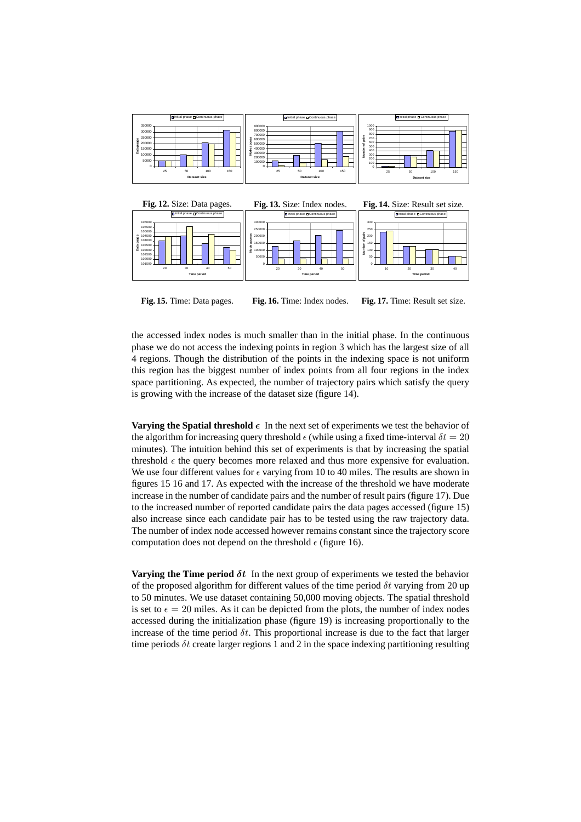

**Fig. 15.** Time: Data pages. **Fig. 16.** Time: Index nodes. **Fig. 17.** Time: Result set size.

20 30 40 50 **Time period**

0 50 100

> 10 20 30 40 **Time period**

0 50000 100000

> 20 30 40 50 **Time period**

the accessed index nodes is much smaller than in the initial phase. In the continuous phase we do not access the indexing points in region 3 which has the largest size of all 4 regions. Though the distribution of the points in the indexing space is not uniform this region has the biggest number of index points from all four regions in the index space partitioning. As expected, the number of trajectory pairs which satisfy the query is growing with the increase of the dataset size (figure 14).

**Varying the Spatial threshold**  $\epsilon$  In the next set of experiments we test the behavior of the algorithm for increasing query threshold  $\epsilon$  (while using a fixed time-interval  $\delta t = 20$ minutes). The intuition behind this set of experiments is that by increasing the spatial threshold  $\epsilon$  the query becomes more relaxed and thus more expensive for evaluation. We use four different values for  $\epsilon$  varying from 10 to 40 miles. The results are shown in figures 15 16 and 17. As expected with the increase of the threshold we have moderate increase in the number of candidate pairs and the number of result pairs (figure 17). Due to the increased number of reported candidate pairs the data pages accessed (figure 15) also increase since each candidate pair has to be tested using the raw trajectory data. The number of index node accessed however remains constant since the trajectory score computation does not depend on the threshold  $\epsilon$  (figure 16).

**Varying the Time period**  $\delta t$  In the next group of experiments we tested the behavior of the proposed algorithm for different values of the time period  $\delta t$  varying from 20 up to 50 minutes. We use dataset containing 50,000 moving objects. The spatial threshold is set to  $\epsilon = 20$  miles. As it can be depicted from the plots, the number of index nodes accessed during the initialization phase (figure 19) is increasing proportionally to the increase of the time period  $\delta t$ . This proportional increase is due to the fact that larger time periods  $\delta t$  create larger regions 1 and 2 in the space indexing partitioning resulting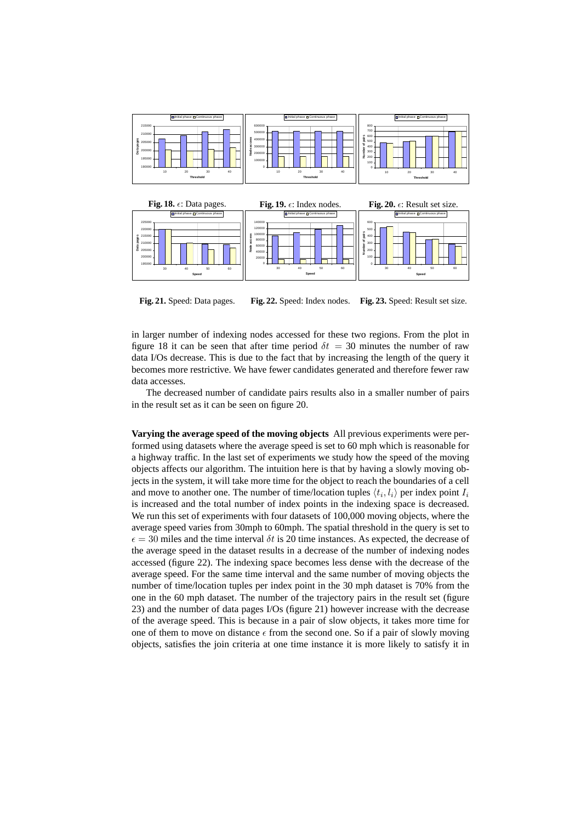



**Fig. 21.** Speed: Data pages. **Fig. 22.** Speed: Index nodes. **Fig. 23.** Speed: Result set size.

in larger number of indexing nodes accessed for these two regions. From the plot in figure 18 it can be seen that after time period  $\delta t = 30$  minutes the number of raw data I/Os decrease. This is due to the fact that by increasing the length of the query it becomes more restrictive. We have fewer candidates generated and therefore fewer raw data accesses.

The decreased number of candidate pairs results also in a smaller number of pairs in the result set as it can be seen on figure 20.

**Varying the average speed of the moving objects** All previous experiments were performed using datasets where the average speed is set to 60 mph which is reasonable for a highway traffic. In the last set of experiments we study how the speed of the moving objects affects our algorithm. The intuition here is that by having a slowly moving objects in the system, it will take more time for the object to reach the boundaries of a cell and move to another one. The number of time/location tuples  $\langle t_i, l_i \rangle$  per index point  $I_i$ is increased and the total number of index points in the indexing space is decreased. We run this set of experiments with four datasets of 100,000 moving objects, where the average speed varies from 30mph to 60mph. The spatial threshold in the query is set to  $\epsilon = 30$  miles and the time interval  $\delta t$  is 20 time instances. As expected, the decrease of the average speed in the dataset results in a decrease of the number of indexing nodes accessed (figure 22). The indexing space becomes less dense with the decrease of the average speed. For the same time interval and the same number of moving objects the number of time/location tuples per index point in the 30 mph dataset is 70% from the one in the 60 mph dataset. The number of the trajectory pairs in the result set (figure 23) and the number of data pages I/Os (figure 21) however increase with the decrease of the average speed. This is because in a pair of slow objects, it takes more time for one of them to move on distance  $\epsilon$  from the second one. So if a pair of slowly moving objects, satisfies the join criteria at one time instance it is more likely to satisfy it in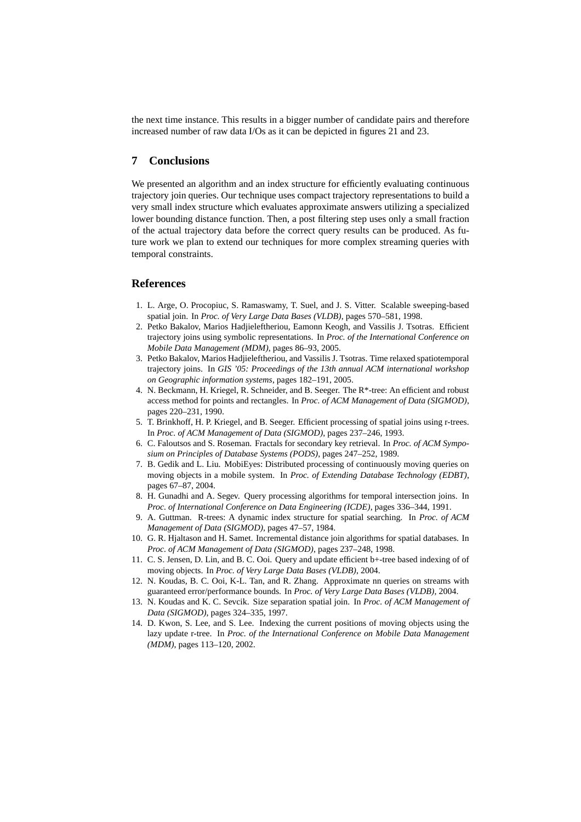the next time instance. This results in a bigger number of candidate pairs and therefore increased number of raw data I/Os as it can be depicted in figures 21 and 23.

### **7 Conclusions**

We presented an algorithm and an index structure for efficiently evaluating continuous trajectory join queries. Our technique uses compact trajectory representations to build a very small index structure which evaluates approximate answers utilizing a specialized lower bounding distance function. Then, a post filtering step uses only a small fraction of the actual trajectory data before the correct query results can be produced. As future work we plan to extend our techniques for more complex streaming queries with temporal constraints.

## **References**

- 1. L. Arge, O. Procopiuc, S. Ramaswamy, T. Suel, and J. S. Vitter. Scalable sweeping-based spatial join. In *Proc. of Very Large Data Bases (VLDB)*, pages 570–581, 1998.
- 2. Petko Bakalov, Marios Hadjieleftheriou, Eamonn Keogh, and Vassilis J. Tsotras. Efficient trajectory joins using symbolic representations. In *Proc. of the International Conference on Mobile Data Management (MDM)*, pages 86–93, 2005.
- 3. Petko Bakalov, Marios Hadjieleftheriou, and Vassilis J. Tsotras. Time relaxed spatiotemporal trajectory joins. In *GIS '05: Proceedings of the 13th annual ACM international workshop on Geographic information systems*, pages 182–191, 2005.
- 4. N. Beckmann, H. Kriegel, R. Schneider, and B. Seeger. The R\*-tree: An efficient and robust access method for points and rectangles. In *Proc. of ACM Management of Data (SIGMOD)*, pages 220–231, 1990.
- 5. T. Brinkhoff, H. P. Kriegel, and B. Seeger. Efficient processing of spatial joins using r-trees. In *Proc. of ACM Management of Data (SIGMOD)*, pages 237–246, 1993.
- 6. C. Faloutsos and S. Roseman. Fractals for secondary key retrieval. In *Proc. of ACM Symposium on Principles of Database Systems (PODS)*, pages 247–252, 1989.
- 7. B. Gedik and L. Liu. MobiEyes: Distributed processing of continuously moving queries on moving objects in a mobile system. In *Proc. of Extending Database Technology (EDBT)*, pages 67–87, 2004.
- 8. H. Gunadhi and A. Segev. Query processing algorithms for temporal intersection joins. In *Proc. of International Conference on Data Engineering (ICDE)*, pages 336–344, 1991.
- 9. A. Guttman. R-trees: A dynamic index structure for spatial searching. In *Proc. of ACM Management of Data (SIGMOD)*, pages 47–57, 1984.
- 10. G. R. Hjaltason and H. Samet. Incremental distance join algorithms for spatial databases. In *Proc. of ACM Management of Data (SIGMOD)*, pages 237–248, 1998.
- 11. C. S. Jensen, D. Lin, and B. C. Ooi. Query and update efficient b+-tree based indexing of of moving objects. In *Proc. of Very Large Data Bases (VLDB)*, 2004.
- 12. N. Koudas, B. C. Ooi, K-L. Tan, and R. Zhang. Approximate nn queries on streams with guaranteed error/performance bounds. In *Proc. of Very Large Data Bases (VLDB)*, 2004.
- 13. N. Koudas and K. C. Sevcik. Size separation spatial join. In *Proc. of ACM Management of Data (SIGMOD)*, pages 324–335, 1997.
- 14. D. Kwon, S. Lee, and S. Lee. Indexing the current positions of moving objects using the lazy update r-tree. In *Proc. of the International Conference on Mobile Data Management (MDM)*, pages 113–120, 2002.